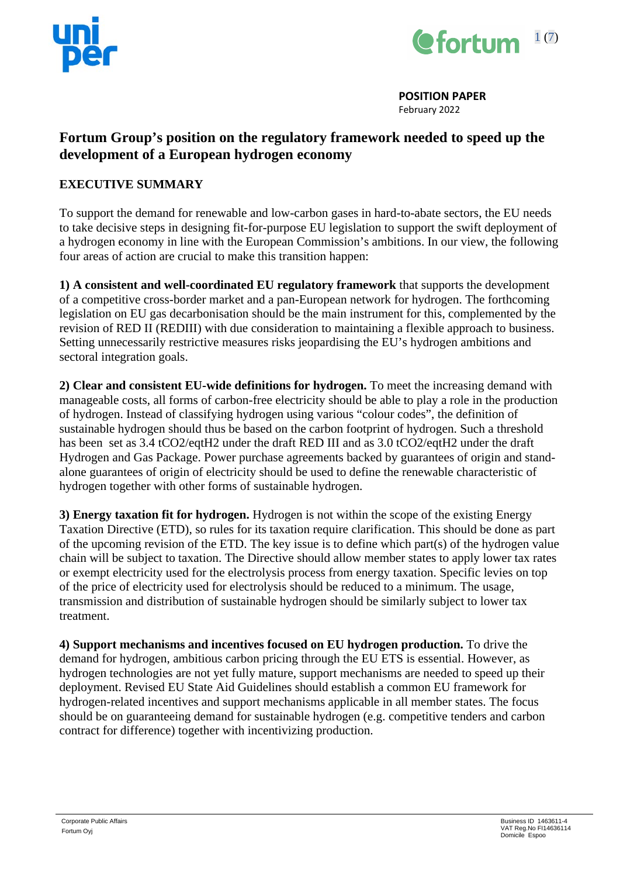



**POSITION PAPER** February 2022

# **Fortum Group's position on the regulatory framework needed to speed up the development of a European hydrogen economy**

# **EXECUTIVE SUMMARY**

To support the demand for renewable and low-carbon gases in hard-to-abate sectors, the EU needs to take decisive steps in designing fit-for-purpose EU legislation to support the swift deployment of a hydrogen economy in line with the European Commission's ambitions. In our view, the following four areas of action are crucial to make this transition happen:

**1) A consistent and well-coordinated EU regulatory framework** that supports the development of a competitive cross-border market and a pan-European network for hydrogen. The forthcoming legislation on EU gas decarbonisation should be the main instrument for this, complemented by the revision of RED II (REDIII) with due consideration to maintaining a flexible approach to business. Setting unnecessarily restrictive measures risks jeopardising the EU's hydrogen ambitions and sectoral integration goals.

**2) Clear and consistent EU-wide definitions for hydrogen.** To meet the increasing demand with manageable costs, all forms of carbon-free electricity should be able to play a role in the production of hydrogen. Instead of classifying hydrogen using various "colour codes", the definition of sustainable hydrogen should thus be based on the carbon footprint of hydrogen. Such a threshold has been set as 3.4 tCO2/eqtH2 under the draft RED III and as 3.0 tCO2/eqtH2 under the draft Hydrogen and Gas Package. Power purchase agreements backed by guarantees of origin and standalone guarantees of origin of electricity should be used to define the renewable characteristic of hydrogen together with other forms of sustainable hydrogen.

**3) Energy taxation fit for hydrogen.** Hydrogen is not within the scope of the existing Energy Taxation Directive (ETD), so rules for its taxation require clarification. This should be done as part of the upcoming revision of the ETD. The key issue is to define which part(s) of the hydrogen value chain will be subject to taxation. The Directive should allow member states to apply lower tax rates or exempt electricity used for the electrolysis process from energy taxation. Specific levies on top of the price of electricity used for electrolysis should be reduced to a minimum. The usage, transmission and distribution of sustainable hydrogen should be similarly subject to lower tax treatment.

**4) Support mechanisms and incentives focused on EU hydrogen production.** To drive the demand for hydrogen, ambitious carbon pricing through the EU ETS is essential. However, as hydrogen technologies are not yet fully mature, support mechanisms are needed to speed up their deployment. Revised EU State Aid Guidelines should establish a common EU framework for hydrogen-related incentives and support mechanisms applicable in all member states. The focus should be on guaranteeing demand for sustainable hydrogen (e.g. competitive tenders and carbon contract for difference) together with incentivizing production.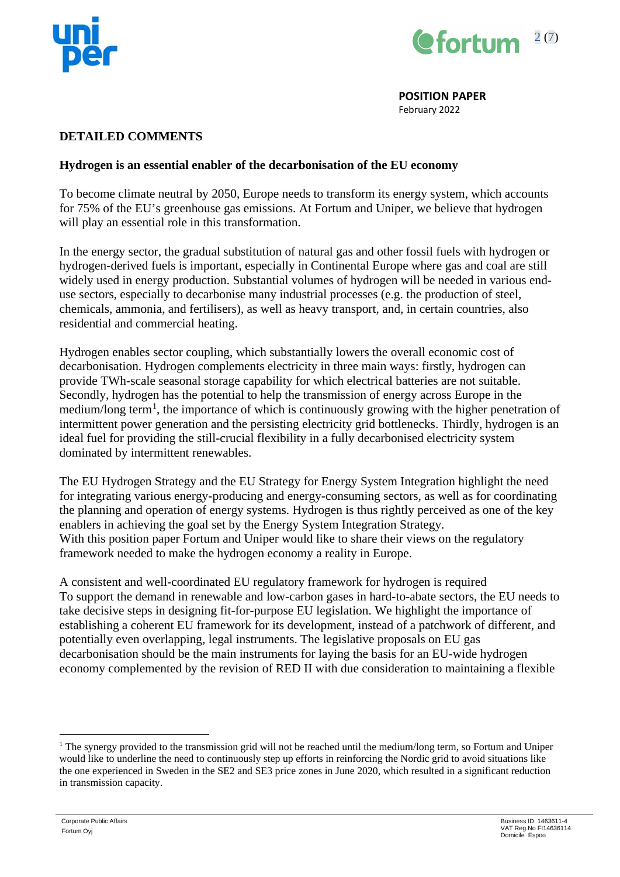



February 2022

### **DETAILED COMMENTS**

### **Hydrogen is an essential enabler of the decarbonisation of the EU economy**

To become climate neutral by 2050, Europe needs to transform its energy system, which accounts for 75% of the EU's greenhouse gas emissions. At Fortum and Uniper, we believe that hydrogen will play an essential role in this transformation.

In the energy sector, the gradual substitution of natural gas and other fossil fuels with hydrogen or hydrogen-derived fuels is important, especially in Continental Europe where gas and coal are still widely used in energy production. Substantial volumes of hydrogen will be needed in various enduse sectors, especially to decarbonise many industrial processes (e.g. the production of steel, chemicals, ammonia, and fertilisers), as well as heavy transport, and, in certain countries, also residential and commercial heating.

Hydrogen enables sector coupling, which substantially lowers the overall economic cost of decarbonisation. Hydrogen complements electricity in three main ways: firstly, hydrogen can provide TWh-scale seasonal storage capability for which electrical batteries are not suitable. Secondly, hydrogen has the potential to help the transmission of energy across Europe in the medium/long term<sup>[1](#page-1-0)</sup>, the importance of which is continuously growing with the higher penetration of intermittent power generation and the persisting electricity grid bottlenecks. Thirdly, hydrogen is an ideal fuel for providing the still-crucial flexibility in a fully decarbonised electricity system dominated by intermittent renewables.

The EU Hydrogen Strategy and the EU Strategy for Energy System Integration highlight the need for integrating various energy-producing and energy-consuming sectors, as well as for coordinating the planning and operation of energy systems. Hydrogen is thus rightly perceived as one of the key enablers in achieving the goal set by the Energy System Integration Strategy. With this position paper Fortum and Uniper would like to share their views on the regulatory framework needed to make the hydrogen economy a reality in Europe.

A consistent and well-coordinated EU regulatory framework for hydrogen is required To support the demand in renewable and low-carbon gases in hard-to-abate sectors, the EU needs to take decisive steps in designing fit-for-purpose EU legislation. We highlight the importance of establishing a coherent EU framework for its development, instead of a patchwork of different, and potentially even overlapping, legal instruments. The legislative proposals on EU gas decarbonisation should be the main instruments for laying the basis for an EU-wide hydrogen economy complemented by the revision of RED II with due consideration to maintaining a flexible

<span id="page-1-0"></span><sup>&</sup>lt;sup>1</sup> The synergy provided to the transmission grid will not be reached until the medium/long term, so Fortum and Uniper would like to underline the need to continuously step up efforts in reinforcing the Nordic grid to avoid situations like the one experienced in Sweden in the SE2 and SE3 price zones in June 2020, which resulted in a significant reduction in transmission capacity.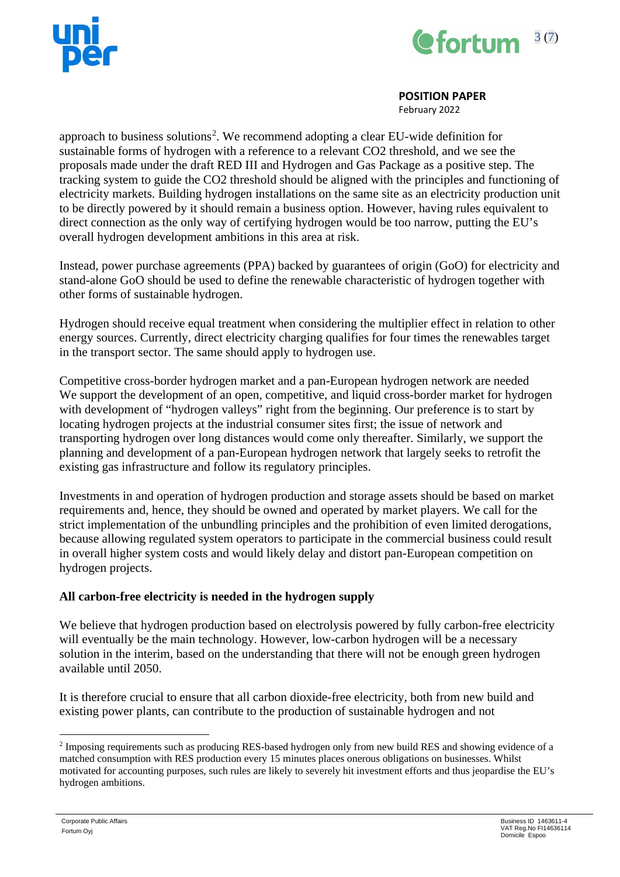



February 2022

approach to business solutions<sup>[2](#page-2-0)</sup>. We recommend adopting a clear EU-wide definition for sustainable forms of hydrogen with a reference to a relevant CO2 threshold, and we see the proposals made under the draft RED III and Hydrogen and Gas Package as a positive step. The tracking system to guide the CO2 threshold should be aligned with the principles and functioning of electricity markets. Building hydrogen installations on the same site as an electricity production unit to be directly powered by it should remain a business option. However, having rules equivalent to direct connection as the only way of certifying hydrogen would be too narrow, putting the EU's overall hydrogen development ambitions in this area at risk.

Instead, power purchase agreements (PPA) backed by guarantees of origin (GoO) for electricity and stand-alone GoO should be used to define the renewable characteristic of hydrogen together with other forms of sustainable hydrogen.

Hydrogen should receive equal treatment when considering the multiplier effect in relation to other energy sources. Currently, direct electricity charging qualifies for four times the renewables target in the transport sector. The same should apply to hydrogen use.

Competitive cross-border hydrogen market and a pan-European hydrogen network are needed We support the development of an open, competitive, and liquid cross-border market for hydrogen with development of "hydrogen valleys" right from the beginning. Our preference is to start by locating hydrogen projects at the industrial consumer sites first; the issue of network and transporting hydrogen over long distances would come only thereafter. Similarly, we support the planning and development of a pan-European hydrogen network that largely seeks to retrofit the existing gas infrastructure and follow its regulatory principles.

Investments in and operation of hydrogen production and storage assets should be based on market requirements and, hence, they should be owned and operated by market players. We call for the strict implementation of the unbundling principles and the prohibition of even limited derogations, because allowing regulated system operators to participate in the commercial business could result in overall higher system costs and would likely delay and distort pan-European competition on hydrogen projects.

# **All carbon-free electricity is needed in the hydrogen supply**

We believe that hydrogen production based on electrolysis powered by fully carbon-free electricity will eventually be the main technology. However, low-carbon hydrogen will be a necessary solution in the interim, based on the understanding that there will not be enough green hydrogen available until 2050.

It is therefore crucial to ensure that all carbon dioxide-free electricity, both from new build and existing power plants, can contribute to the production of sustainable hydrogen and not

<span id="page-2-0"></span><sup>2</sup> Imposing requirements such as producing RES-based hydrogen only from new build RES and showing evidence of a matched consumption with RES production every 15 minutes places onerous obligations on businesses. Whilst motivated for accounting purposes, such rules are likely to severely hit investment efforts and thus jeopardise the EU's hydrogen ambitions.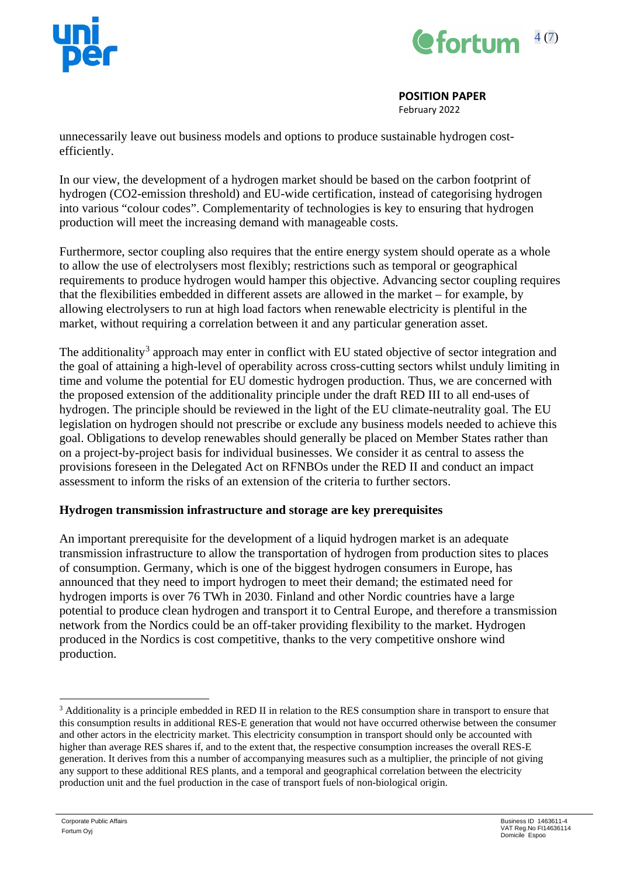



February 2022

unnecessarily leave out business models and options to produce sustainable hydrogen costefficiently.

In our view, the development of a hydrogen market should be based on the carbon footprint of hydrogen (CO2-emission threshold) and EU-wide certification, instead of categorising hydrogen into various "colour codes". Complementarity of technologies is key to ensuring that hydrogen production will meet the increasing demand with manageable costs.

Furthermore, sector coupling also requires that the entire energy system should operate as a whole to allow the use of electrolysers most flexibly; restrictions such as temporal or geographical requirements to produce hydrogen would hamper this objective. Advancing sector coupling requires that the flexibilities embedded in different assets are allowed in the market – for example, by allowing electrolysers to run at high load factors when renewable electricity is plentiful in the market, without requiring a correlation between it and any particular generation asset.

The additionality<sup>[3](#page-3-0)</sup> approach may enter in conflict with EU stated objective of sector integration and the goal of attaining a high-level of operability across cross-cutting sectors whilst unduly limiting in time and volume the potential for EU domestic hydrogen production. Thus, we are concerned with the proposed extension of the additionality principle under the draft RED III to all end-uses of hydrogen. The principle should be reviewed in the light of the EU climate-neutrality goal. The EU legislation on hydrogen should not prescribe or exclude any business models needed to achieve this goal. Obligations to develop renewables should generally be placed on Member States rather than on a project-by-project basis for individual businesses. We consider it as central to assess the provisions foreseen in the Delegated Act on RFNBOs under the RED II and conduct an impact assessment to inform the risks of an extension of the criteria to further sectors.

# **Hydrogen transmission infrastructure and storage are key prerequisites**

An important prerequisite for the development of a liquid hydrogen market is an adequate transmission infrastructure to allow the transportation of hydrogen from production sites to places of consumption. Germany, which is one of the biggest hydrogen consumers in Europe, has announced that they need to import hydrogen to meet their demand; the estimated need for hydrogen imports is over 76 TWh in 2030. Finland and other Nordic countries have a large potential to produce clean hydrogen and transport it to Central Europe, and therefore a transmission network from the Nordics could be an off-taker providing flexibility to the market. Hydrogen produced in the Nordics is cost competitive, thanks to the very competitive onshore wind production.

<span id="page-3-0"></span><sup>&</sup>lt;sup>3</sup> Additionality is a principle embedded in RED II in relation to the RES consumption share in transport to ensure that this consumption results in additional RES-E generation that would not have occurred otherwise between the consumer and other actors in the electricity market. This electricity consumption in transport should only be accounted with higher than average RES shares if, and to the extent that, the respective consumption increases the overall RES-E generation. It derives from this a number of accompanying measures such as a multiplier, the principle of not giving any support to these additional RES plants, and a temporal and geographical correlation between the electricity production unit and the fuel production in the case of transport fuels of non-biological origin.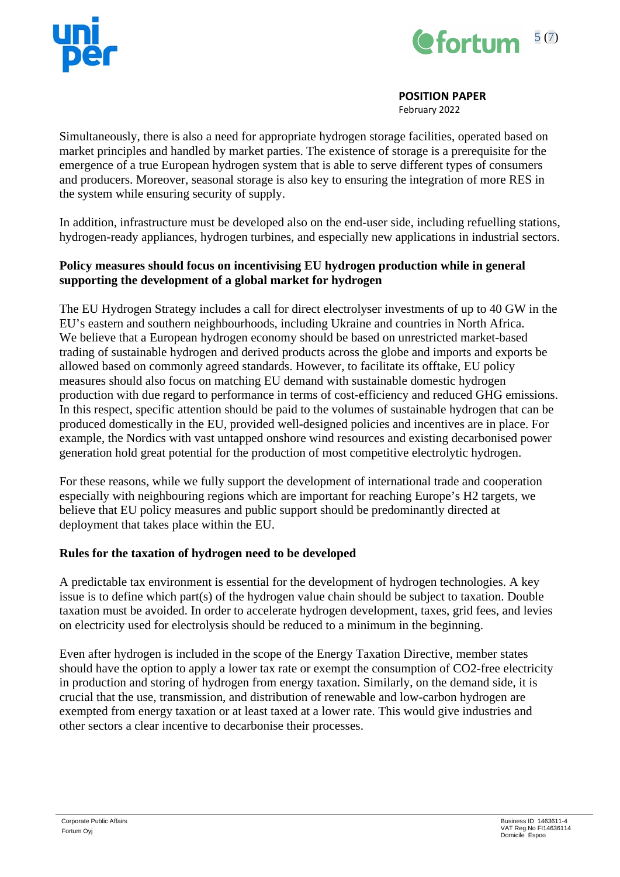



February 2022

Simultaneously, there is also a need for appropriate hydrogen storage facilities, operated based on market principles and handled by market parties. The existence of storage is a prerequisite for the emergence of a true European hydrogen system that is able to serve different types of consumers and producers. Moreover, seasonal storage is also key to ensuring the integration of more RES in the system while ensuring security of supply.

In addition, infrastructure must be developed also on the end-user side, including refuelling stations, hydrogen-ready appliances, hydrogen turbines, and especially new applications in industrial sectors.

## **Policy measures should focus on incentivising EU hydrogen production while in general supporting the development of a global market for hydrogen**

The EU Hydrogen Strategy includes a call for direct electrolyser investments of up to 40 GW in the EU's eastern and southern neighbourhoods, including Ukraine and countries in North Africa. We believe that a European hydrogen economy should be based on unrestricted market-based trading of sustainable hydrogen and derived products across the globe and imports and exports be allowed based on commonly agreed standards. However, to facilitate its offtake, EU policy measures should also focus on matching EU demand with sustainable domestic hydrogen production with due regard to performance in terms of cost-efficiency and reduced GHG emissions. In this respect, specific attention should be paid to the volumes of sustainable hydrogen that can be produced domestically in the EU, provided well-designed policies and incentives are in place. For example, the Nordics with vast untapped onshore wind resources and existing decarbonised power generation hold great potential for the production of most competitive electrolytic hydrogen.

For these reasons, while we fully support the development of international trade and cooperation especially with neighbouring regions which are important for reaching Europe's H2 targets, we believe that EU policy measures and public support should be predominantly directed at deployment that takes place within the EU.

### **Rules for the taxation of hydrogen need to be developed**

A predictable tax environment is essential for the development of hydrogen technologies. A key issue is to define which part(s) of the hydrogen value chain should be subject to taxation. Double taxation must be avoided. In order to accelerate hydrogen development, taxes, grid fees, and levies on electricity used for electrolysis should be reduced to a minimum in the beginning.

Even after hydrogen is included in the scope of the Energy Taxation Directive, member states should have the option to apply a lower tax rate or exempt the consumption of CO2-free electricity in production and storing of hydrogen from energy taxation. Similarly, on the demand side, it is crucial that the use, transmission, and distribution of renewable and low-carbon hydrogen are exempted from energy taxation or at least taxed at a lower rate. This would give industries and other sectors a clear incentive to decarbonise their processes.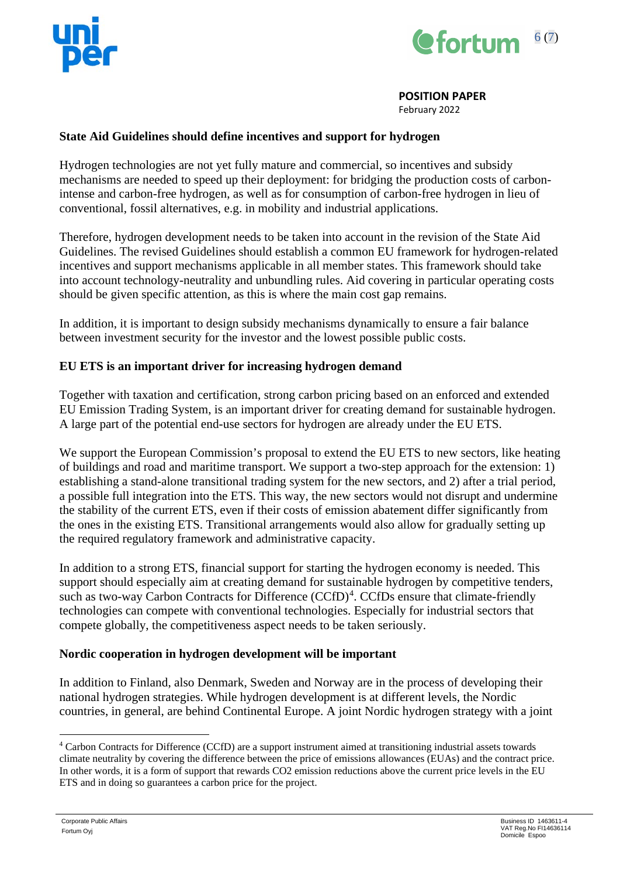



February 2022

### **State Aid Guidelines should define incentives and support for hydrogen**

Hydrogen technologies are not yet fully mature and commercial, so incentives and subsidy mechanisms are needed to speed up their deployment: for bridging the production costs of carbonintense and carbon-free hydrogen, as well as for consumption of carbon-free hydrogen in lieu of conventional, fossil alternatives, e.g. in mobility and industrial applications.

Therefore, hydrogen development needs to be taken into account in the revision of the State Aid Guidelines. The revised Guidelines should establish a common EU framework for hydrogen-related incentives and support mechanisms applicable in all member states. This framework should take into account technology-neutrality and unbundling rules. Aid covering in particular operating costs should be given specific attention, as this is where the main cost gap remains.

In addition, it is important to design subsidy mechanisms dynamically to ensure a fair balance between investment security for the investor and the lowest possible public costs.

## **EU ETS is an important driver for increasing hydrogen demand**

Together with taxation and certification, strong carbon pricing based on an enforced and extended EU Emission Trading System, is an important driver for creating demand for sustainable hydrogen. A large part of the potential end-use sectors for hydrogen are already under the EU ETS.

We support the European Commission's proposal to extend the EU ETS to new sectors, like heating of buildings and road and maritime transport. We support a two-step approach for the extension: 1) establishing a stand-alone transitional trading system for the new sectors, and 2) after a trial period, a possible full integration into the ETS. This way, the new sectors would not disrupt and undermine the stability of the current ETS, even if their costs of emission abatement differ significantly from the ones in the existing ETS. Transitional arrangements would also allow for gradually setting up the required regulatory framework and administrative capacity.

In addition to a strong ETS, financial support for starting the hydrogen economy is needed. This support should especially aim at creating demand for sustainable hydrogen by competitive tenders, such as two-way Carbon Contracts for Difference (CCfD)<sup>[4](#page-5-0)</sup>. CCfDs ensure that climate-friendly technologies can compete with conventional technologies. Especially for industrial sectors that compete globally, the competitiveness aspect needs to be taken seriously.

### **Nordic cooperation in hydrogen development will be important**

In addition to Finland, also Denmark, Sweden and Norway are in the process of developing their national hydrogen strategies. While hydrogen development is at different levels, the Nordic countries, in general, are behind Continental Europe. A joint Nordic hydrogen strategy with a joint

<span id="page-5-0"></span><sup>4</sup> Carbon Contracts for Difference (CCfD) are a support instrument aimed at transitioning industrial assets towards climate neutrality by covering the difference between the price of emissions allowances (EUAs) and the contract price. In other words, it is a form of support that rewards CO2 emission reductions above the current price levels in the EU ETS and in doing so guarantees a carbon price for the project.